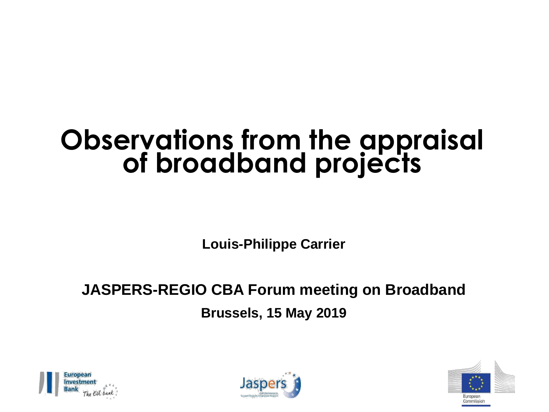## **Observations from the appraisal of broadband projects**

**Louis-Philippe Carrier**

#### **JASPERS-REGIO CBA Forum meeting on Broadband Brussels, 15 May 2019**





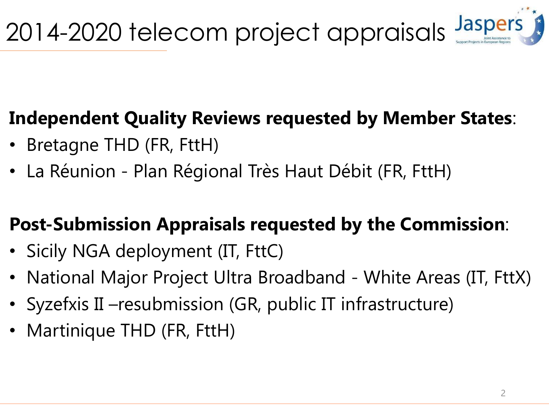### **Independent Quality Reviews requested by Member States**:

- Bretagne THD (FR, FttH)
- La Réunion Plan Régional Très Haut Débit (FR, FttH)

#### **Post-Submission Appraisals requested by the Commission**:

- Sicily NGA deployment (IT, FttC)
- National Major Project Ultra Broadband White Areas (IT, FttX)
- Syzefxis II –resubmission (GR, public IT infrastructure)
- Martinique THD (FR, FttH)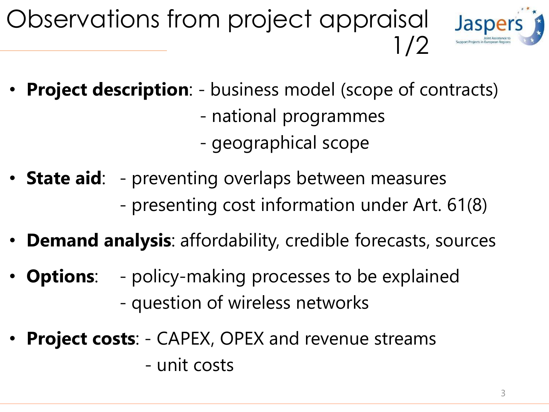



- **Project description**: business model (scope of contracts)
	- national programmes
	- geographical scope
- **State aid**: preventing overlaps between measures - presenting cost information under Art. 61(8)
- **Demand analysis**: affordability, credible forecasts, sources
- **Options:** policy-making processes to be explained - question of wireless networks
- **Project costs:** CAPEX, OPEX and revenue streams - unit costs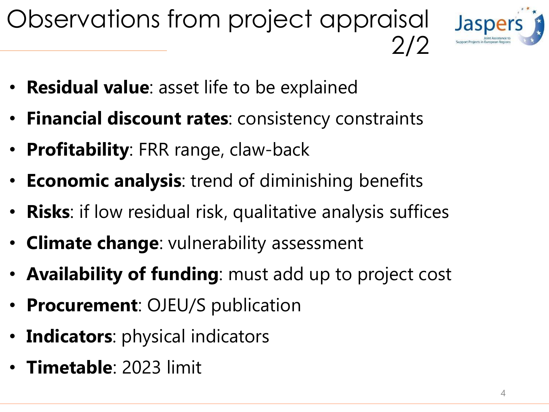## Observations from project appraisal 2/2



- **Residual value**: asset life to be explained
- **Financial discount rates**: consistency constraints
- **Profitability**: FRR range, claw-back
- **Economic analysis**: trend of diminishing benefits
- **Risks**: if low residual risk, qualitative analysis suffices
- **Climate change**: vulnerability assessment
- **Availability of funding**: must add up to project cost
- **Procurement**: OJEU/S publication
- **Indicators**: physical indicators
- **Timetable**: 2023 limit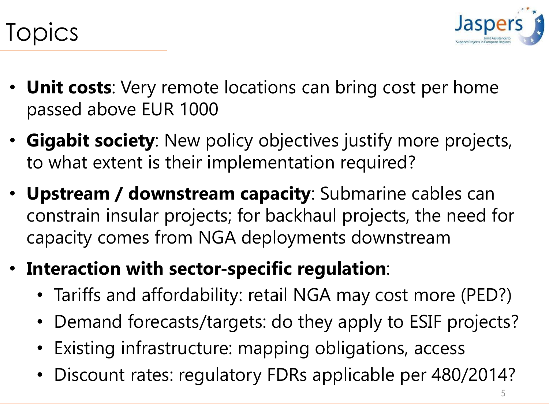

## Topics

- **Unit costs**: Very remote locations can bring cost per home passed above EUR 1000
- **Gigabit society**: New policy objectives justify more projects, to what extent is their implementation required?
- **Upstream / downstream capacity**: Submarine cables can constrain insular projects; for backhaul projects, the need for capacity comes from NGA deployments downstream
- **Interaction with sector-specific regulation**:
	- Tariffs and affordability: retail NGA may cost more (PED?)
	- Demand forecasts/targets: do they apply to ESIF projects?
	- Existing infrastructure: mapping obligations, access
	- Discount rates: regulatory FDRs applicable per 480/2014?